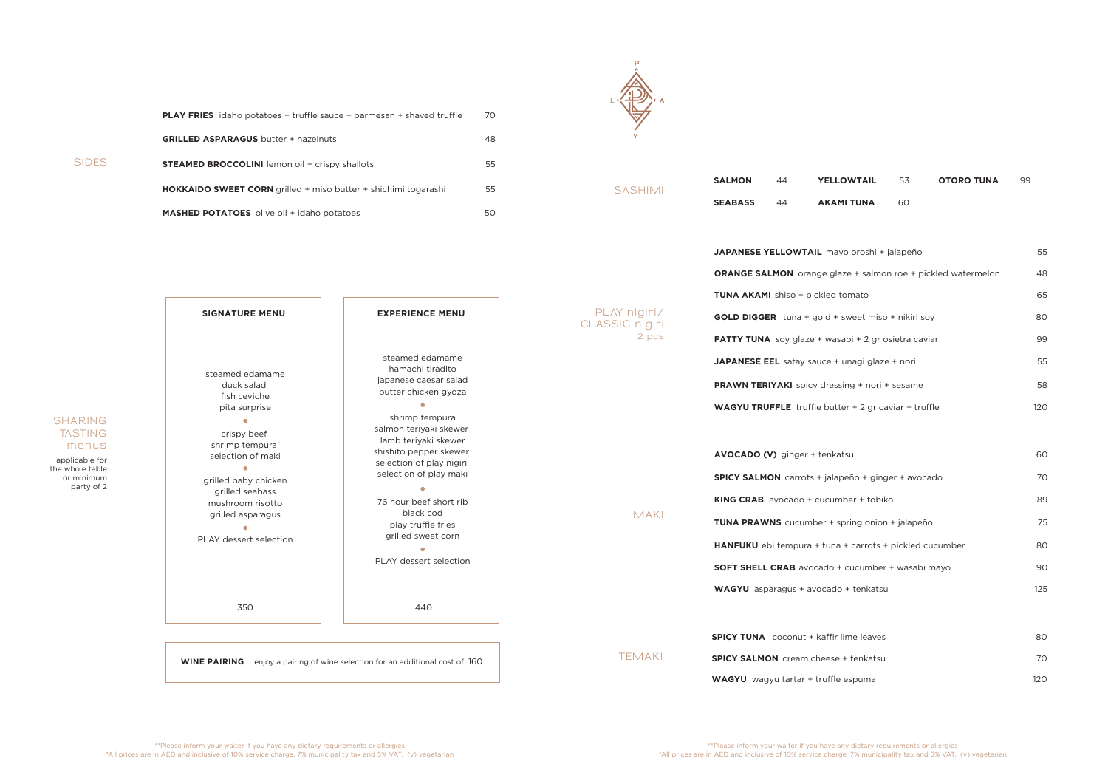**SIDES**

| <b>PLAY FRIES</b> idaho potatoes + truffle sauce + parmesan + shaved truffle | 70 |
|------------------------------------------------------------------------------|----|
| <b>GRILLED ASPARAGUS</b> butter + hazelnuts                                  | 48 |
| <b>STEAMED BROCCOLINI</b> lemon oil + crispy shallots                        | 55 |
| <b>HOKKAIDO SWEET CORN</b> grilled + miso butter + shichimi togarashi        | 55 |
| <b>MASHED POTATOES</b> olive oil + idaho potatoes                            | 50 |



**SHARING TASTING menus**

applicable for the whole table or minimum party of 2

| JAPANESE YELLOWTAIL mayo oroshi + jalapeño                          | 55  |
|---------------------------------------------------------------------|-----|
| <b>ORANGE SALMON</b> orange glaze + salmon roe + pickled watermelon | 48  |
| <b>TUNA AKAMI</b> shiso + pickled tomato                            | 65  |
| <b>GOLD DIGGER</b> tuna + gold + sweet miso + nikiri soy            | 80  |
| <b>FATTY TUNA</b> soy glaze + wasabi + 2 gr osietra caviar          | 99  |
| JAPANESE EEL satay sauce + unagi glaze + nori                       | 55  |
| <b>PRAWN TERIYAKI</b> spicy dressing + nori + sesame                | 58  |
| <b>WAGYU TRUFFLE</b> truffle butter + 2 gr caviar + truffle         | 120 |
|                                                                     |     |
| <b>AVOCADO (V)</b> ginger + tenkatsu                                | 60  |
| SPICY SALMON carrots + jalapeño + ginger + avocado                  | 70  |
| <b>KING CRAB</b> avocado + cucumber + tobiko                        | 89  |
| <b>TUNA PRAWNS</b> cucumber + spring onion + jalapeño               | 75  |
| <b>HANFUKU</b> ebi tempura + tuna + carrots + pickled cucumber      | 80  |
| <b>SOFT SHELL CRAB</b> avocado + cucumber + wasabi mayo             | 90  |
| WAGYU asparagus + avocado + tenkatsu                                | 125 |
|                                                                     |     |
| <b>SPICY TUNA</b> coconut + kaffir lime leaves                      | 80  |
| <b>SPICY SALMON</b> cream cheese + tenkatsu                         | 70  |

|  | <b>SIGNATURE MENU</b>                           | <b>EXPERIENCE MENU</b>                                                                                                                                         | PLAY nigiri/<br>CLASSIC nigiri | <b>GOLD DIGGER</b> tuna + gold + sweet miso + nikiri soy       | 80  |
|--|-------------------------------------------------|----------------------------------------------------------------------------------------------------------------------------------------------------------------|--------------------------------|----------------------------------------------------------------|-----|
|  |                                                 |                                                                                                                                                                | 2 pcs                          | FATTY TUNA soy glaze + wasabi + 2 gr osietra caviar            | 99  |
|  | steamed edamame                                 | steamed edamame<br>hamachi tiradito                                                                                                                            |                                | JAPANESE EEL satay sauce + unagi glaze + nori                  | 55  |
|  | duck salad<br>fish ceviche                      | japanese caesar salad<br>butter chicken gyoza                                                                                                                  |                                | <b>PRAWN TERIYAKI</b> spicy dressing + nori + sesame           | 58  |
|  | pita surprise<br>crispy beef                    | $\bullet$<br>shrimp tempura<br>salmon teriyaki skewer<br>lamb teriyaki skewer                                                                                  |                                | <b>WAGYU TRUFFLE</b> truffle butter $+2$ gr caviar $+$ truffle | 120 |
|  | shrimp tempura<br>selection of maki             | shishito pepper skewer<br>selection of play nigiri                                                                                                             |                                | AVOCADO (V) ginger + tenkatsu                                  | 60  |
|  | $\langle \cdot \rangle$<br>grilled baby chicken | selection of play maki<br>$\langle \cdot \rangle$<br>76 hour beef short rib<br>black cod<br>play truffle fries<br>grilled sweet corn<br>PLAY dessert selection |                                | SPICY SALMON carrots + jalapeño + ginger + avocado             | 70  |
|  | grilled seabass<br>mushroom risotto             |                                                                                                                                                                |                                | <b>KING CRAB</b> avocado + cucumber + tobiko                   | 89  |
|  | grilled asparagus                               |                                                                                                                                                                | <b>MAKI</b>                    | <b>TUNA PRAWNS</b> cucumber + spring onion + jalapeño          | 75  |
|  | PLAY dessert selection                          |                                                                                                                                                                |                                | HANFUKU ebi tempura + tuna + carrots + pickled cucumber        | 80  |
|  |                                                 |                                                                                                                                                                |                                | <b>SOFT SHELL CRAB</b> avocado + cucumber + wasabi mayo        | 90  |
|  |                                                 |                                                                                                                                                                |                                | WAGYU asparagus + avocado + tenkatsu                           | 125 |
|  | 350                                             | 440                                                                                                                                                            |                                |                                                                |     |
|  |                                                 |                                                                                                                                                                |                                | <b>SPICY TUNA</b> coconut + kaffir lime leaves                 | 80  |
|  |                                                 | <b>WINE PAIRING</b> enjoy a pairing of wine selection for an additional cost of 160                                                                            | <b>TEMAKI</b>                  | <b>SPICY SALMON</b> cream cheese + tenkatsu                    | 70  |
|  |                                                 |                                                                                                                                                                |                                | WAGYU wagyu tartar + truffle espuma                            | 120 |
|  |                                                 |                                                                                                                                                                |                                |                                                                |     |

**SASHIMI**

| <b>SALMON</b>  | 44 | <b>YELLOWTAIL</b> | - 53 | <b>OTORO TUNA</b> | 99. |
|----------------|----|-------------------|------|-------------------|-----|
| <b>SEABASS</b> | 44 | AKAMI TUNA        | ഹ    |                   |     |

|                                  | <b>ORANGE SALMON</b> orange gla     |
|----------------------------------|-------------------------------------|
|                                  | <b>TUNA AKAMI</b> shiso + pickled t |
| $\overline{\text{iri}}$<br>igiri | <b>GOLD DIGGER</b> tuna + gold +    |
| pcs                              | <b>FATTY TUNA</b> soy glaze + was   |
|                                  | JAPANESE EEL satay sauce +          |
|                                  | <b>PRAWN TERIYAKI</b> spicy dress   |
|                                  | <b>WAGYU TRUFFLE</b> truffle butt   |
|                                  |                                     |
|                                  | AVOCADO (V) ginger + tenka          |
|                                  | <b>SPICY SALMON</b> carrots + jalar |
|                                  | KING CRAB avocado + cucum           |
| AKI                              | <b>TUNA PRAWNS</b> cucumber + s     |
|                                  | HANFUKU ebi tempura + tuna          |
|                                  | <b>SOFT SHELL CRAB avocado +</b>    |
|                                  | <b>WAGYU</b> asparagus + avocado    |